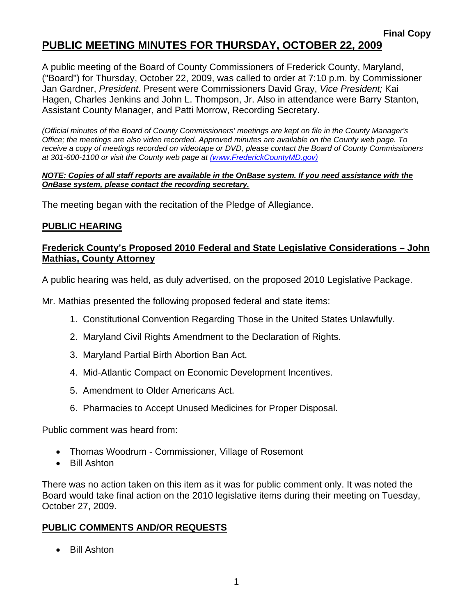## **PUBLIC MEETING MINUTES FOR THURSDAY, OCTOBER 22, 2009**

A public meeting of the Board of County Commissioners of Frederick County, Maryland, ("Board") for Thursday, October 22, 2009, was called to order at 7:10 p.m. by Commissioner Jan Gardner, *President*. Present were Commissioners David Gray, *Vice President;* Kai Hagen, Charles Jenkins and John L. Thompson, Jr. Also in attendance were Barry Stanton, Assistant County Manager, and Patti Morrow, Recording Secretary.

*(Official minutes of the Board of County Commissioners' meetings are kept on file in the County Manager's Office; the meetings are also video recorded. Approved minutes are available on the County web page. To receive a copy of meetings recorded on videotape or DVD, please contact the Board of County Commissioners at 301-600-1100 or visit the County web page at (www.FrederickCountyMD.gov)*

#### *NOTE: Copies of all staff reports are available in the OnBase system. If you need assistance with the OnBase system, please contact the recording secretary.*

The meeting began with the recitation of the Pledge of Allegiance.

#### **PUBLIC HEARING**

#### **Frederick County's Proposed 2010 Federal and State Legislative Considerations – John Mathias, County Attorney**

A public hearing was held, as duly advertised, on the proposed 2010 Legislative Package.

Mr. Mathias presented the following proposed federal and state items:

- 1. Constitutional Convention Regarding Those in the United States Unlawfully.
- 2. Maryland Civil Rights Amendment to the Declaration of Rights.
- 3. Maryland Partial Birth Abortion Ban Act.
- 4. Mid-Atlantic Compact on Economic Development Incentives.
- 5. Amendment to Older Americans Act.
- 6. Pharmacies to Accept Unused Medicines for Proper Disposal.

Public comment was heard from:

- Thomas Woodrum Commissioner, Village of Rosemont
- Bill Ashton

There was no action taken on this item as it was for public comment only. It was noted the Board would take final action on the 2010 legislative items during their meeting on Tuesday, October 27, 2009.

#### **PUBLIC COMMENTS AND/OR REQUESTS**

• Bill Ashton